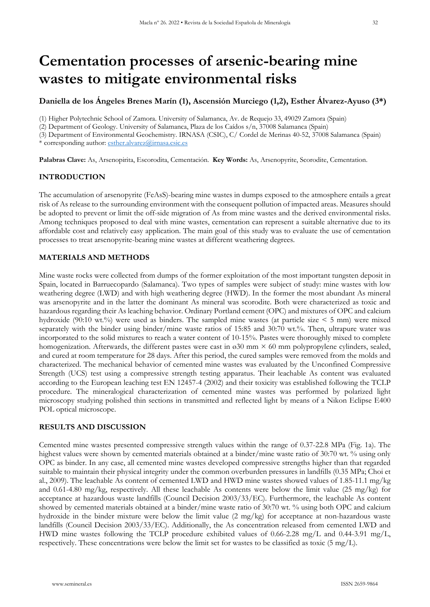# **Cementation processes of arsenic-bearing mine wastes to mitigate environmental risks**

# **Daniella de los Ángeles Brenes Marín (1), Ascensión Murciego (1,2), Esther Álvarez-Ayuso (3\*)**

(1) Higher Polytechnic School of Zamora. University of Salamanca, Av. de Requejo 33, 49029 Zamora (Spain)

(2) Department of Geology. University of Salamanca, Plaza de los Caídos s/n, 37008 Salamanca (Spain)

(3) Department of Environmental Geochemistry. IRNASA (CSIC), C/ Cordel de Merinas 40-52, 37008 Salamanca (Spain)

\* corresponding author: [esther.alvarez@irnasa.csic.es](mailto:esther.alvarez@irnasa.csic.es)

**Palabras Clave:** As, Arsenopirita, Escorodita, Cementación. **Key Words:** As, Arsenopyrite, Scorodite, Cementation.

# **INTRODUCTION**

The accumulation of arsenopyrite (FeAsS)-bearing mine wastes in dumps exposed to the atmosphere entails a great risk of As release to the surrounding environment with the consequent pollution of impacted areas. Measures should be adopted to prevent or limit the off-side migration of As from mine wastes and the derived environmental risks. Among techniques proposed to deal with mine wastes, cementation can represent a suitable alternative due to its affordable cost and relatively easy application. The main goal of this study was to evaluate the use of cementation processes to treat arsenopyrite-bearing mine wastes at different weathering degrees.

## **MATERIALS AND METHODS**

Mine waste rocks were collected from dumps of the former exploitation of the most important tungsten deposit in Spain, located in Barruecopardo (Salamanca). Two types of samples were subject of study: mine wastes with low weathering degree (LWD) and with high weathering degree (HWD). In the former the most abundant As mineral was arsenopyrite and in the latter the dominant As mineral was scorodite. Both were characterized as toxic and hazardous regarding their As leaching behavior. Ordinary Portland cement (OPC) and mixtures of OPC and calcium hydroxide (90:10 wt.%) were used as binders. The sampled mine wastes (at particle size  $\leq 5$  mm) were mixed separately with the binder using binder/mine waste ratios of 15:85 and 30:70 wt.%. Then, ultrapure water was incorporated to the solid mixtures to reach a water content of 10-15%. Pastes were thoroughly mixed to complete homogenization. Afterwards, the different pastes were cast in  $\sigma$ 30 mm  $\times$  60 mm polypropylene cylinders, sealed, and cured at room temperature for 28 days. After this period, the cured samples were removed from the molds and characterized. The mechanical behavior of cemented mine wastes was evaluated by the Unconfined Compressive Strength (UCS) test using a compressive strength testing apparatus. Their leachable As content was evaluated according to the European leaching test EN 12457-4 (2002) and their toxicity was established following the TCLP procedure. The mineralogical characterization of cemented mine wastes was performed by polarized light microscopy studying polished thin sections in transmitted and reflected light by means of a Nikon Eclipse E400 POL optical microscope.

## **RESULTS AND DISCUSSION**

Cemented mine wastes presented compressive strength values within the range of 0.37-22.8 MPa (Fig. 1a). The highest values were shown by cemented materials obtained at a binder/mine waste ratio of 30.70 wt. % using only OPC as binder. In any case, all cemented mine wastes developed compressive strengths higher than that regarded suitable to maintain their physical integrity under the common overburden pressures in landfills (0.35 MPa; Choi et al., 2009). The leachable As content of cemented LWD and HWD mine wastes showed values of 1.85-11.1 mg/kg and 0.61-4.80 mg/kg, respectively. All these leachable As contents were below the limit value (25 mg/kg) for acceptance at hazardous waste landfills (Council Decision 2003/33/EC). Furthermore, the leachable As content showed by cemented materials obtained at a binder/mine waste ratio of 30:70 wt. % using both OPC and calcium hydroxide in the binder mixture were below the limit value (2 mg/kg) for acceptance at non-hazardous waste landfills (Council Decision 2003/33/EC). Additionally, the As concentration released from cemented LWD and HWD mine wastes following the TCLP procedure exhibited values of 0.66-2.28 mg/L and 0.44-3.91 mg/L, respectively. These concentrations were below the limit set for wastes to be classified as toxic (5 mg/L).